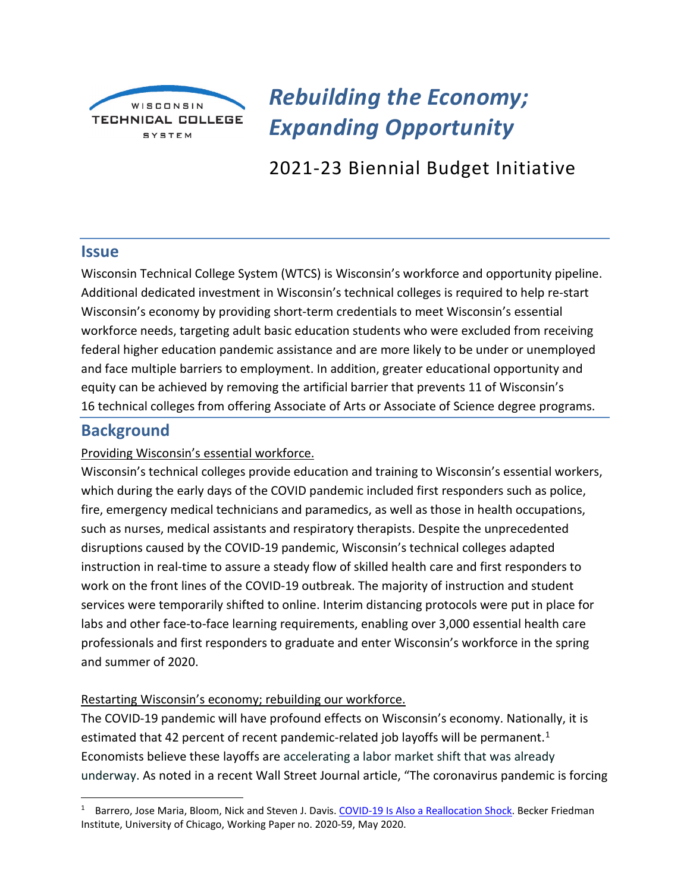

*Rebuilding the Economy; Expanding Opportunity*

2021-23 Biennial Budget Initiative

## **Issue**

Wisconsin Technical College System (WTCS) is Wisconsin's workforce and opportunity pipeline. Additional dedicated investment in Wisconsin's technical colleges is required to help re-start Wisconsin's economy by providing short-term credentials to meet Wisconsin's essential workforce needs, targeting adult basic education students who were excluded from receiving federal higher education pandemic assistance and are more likely to be under or unemployed and face multiple barriers to employment. In addition, greater educational opportunity and equity can be achieved by removing the artificial barrier that prevents 11 of Wisconsin's 16 technical colleges from offering Associate of Arts or Associate of Science degree programs.

# **Background**

## Providing Wisconsin's essential workforce.

Wisconsin's technical colleges provide education and training to Wisconsin's essential workers, which during the early days of the COVID pandemic included first responders such as police, fire, emergency medical technicians and paramedics, as well as those in health occupations, such as nurses, medical assistants and respiratory therapists. Despite the unprecedented disruptions caused by the COVID-19 pandemic, Wisconsin's technical colleges adapted instruction in real-time to assure a steady flow of skilled health care and first responders to work on the front lines of the COVID-19 outbreak. The majority of instruction and student services were temporarily shifted to online. Interim distancing protocols were put in place for labs and other face-to-face learning requirements, enabling over 3,000 essential health care professionals and first responders to graduate and enter Wisconsin's workforce in the spring and summer of 2020.

#### Restarting Wisconsin's economy; rebuilding our workforce.

The COVID-19 pandemic will have profound effects on Wisconsin's economy. Nationally, it is estimated that 42 percent of recent pandemic-related job layoffs will be permanent.<sup>[1](#page-0-0)</sup> Economists believe these layoffs are accelerating a labor market shift that was already underway. As noted in a recent Wall Street Journal article, "The coronavirus pandemic is forcing

<span id="page-0-0"></span><sup>&</sup>lt;sup>1</sup> Barrero, Jose Maria, Bloom, Nick and Steven J. Davis. [COVID-19 Is Also a Reallocation Shock.](https://bfi.uchicago.edu/wp-content/uploads/BFI_WP_202059.pdf?mod=article_inline) Becker Friedman Institute, University of Chicago, Working Paper no. 2020-59, May 2020.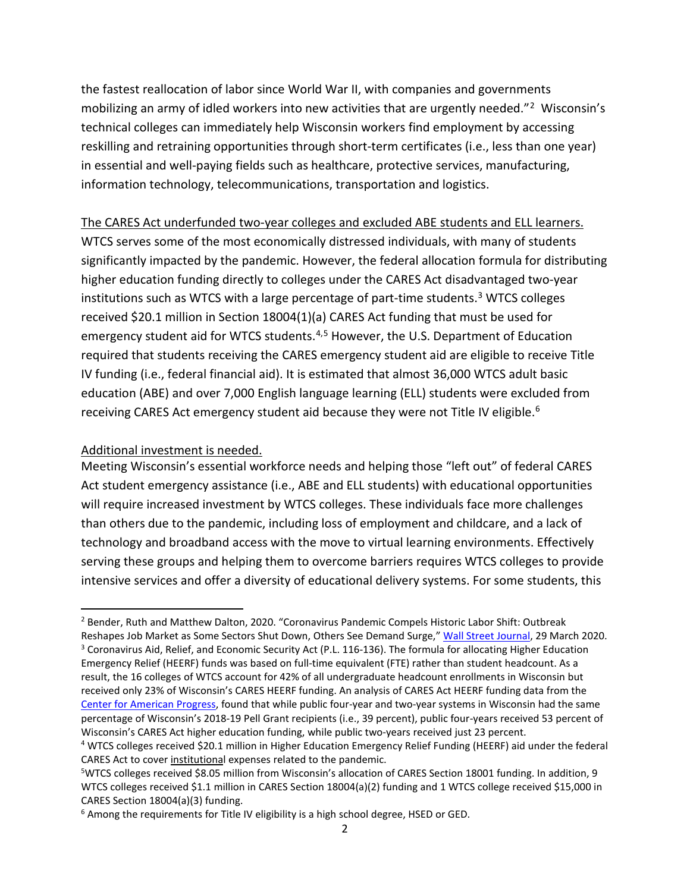the fastest reallocation of labor since World War II, with companies and governments mobilizing an army of idled workers into new activities that are urgently needed."<sup>2</sup> Wisconsin's technical colleges can immediately help Wisconsin workers find employment by accessing reskilling and retraining opportunities through short-term certificates (i.e., less than one year) in essential and well-paying fields such as healthcare, protective services, manufacturing, information technology, telecommunications, transportation and logistics.

### The CARES Act underfunded two-year colleges and excluded ABE students and ELL learners.

WTCS serves some of the most economically distressed individuals, with many of students significantly impacted by the pandemic. However, the federal allocation formula for distributing higher education funding directly to colleges under the CARES Act disadvantaged two-year institutions such as WTCS with a large percentage of part-time students.<sup>[3](#page-1-1)</sup> WTCS colleges received \$20.1 million in Section 18004(1)(a) CARES Act funding that must be used for emergency student aid for WTCS students.<sup>[4,](#page-1-2)[5](#page-1-3)</sup> However, the U.S. Department of Education required that students receiving the CARES emergency student aid are eligible to receive Title IV funding (i.e., federal financial aid). It is estimated that almost 36,000 WTCS adult basic education (ABE) and over 7,000 English language learning (ELL) students were excluded from receiving CARES Act emergency student aid because they were not Title IV eligible.<sup>[6](#page-1-4)</sup>

## Additional investment is needed.

Meeting Wisconsin's essential workforce needs and helping those "left out" of federal CARES Act student emergency assistance (i.e., ABE and ELL students) with educational opportunities will require increased investment by WTCS colleges. These individuals face more challenges than others due to the pandemic, including loss of employment and childcare, and a lack of technology and broadband access with the move to virtual learning environments. Effectively serving these groups and helping them to overcome barriers requires WTCS colleges to provide intensive services and offer a diversity of educational delivery systems. For some students, this

<span id="page-1-1"></span><span id="page-1-0"></span><sup>&</sup>lt;sup>2</sup> Bender, Ruth and Matthew Dalton, 2020. "Coronavirus Pandemic Compels Historic Labor Shift: Outbreak Reshapes Job Market as Some Sectors Shut Down, Others See Demand Surge,[" Wall Street Journal,](https://www.wsj.com/articles/coronavirus-pandemic-compels-historic-labor-shift-11585474206) 29 March 2020. <sup>3</sup> Coronavirus Aid, Relief, and Economic Security Act (P.L. 116-136). The formula for allocating Higher Education Emergency Relief (HEERF) funds was based on full-time equivalent (FTE) rather than student headcount. As a result, the 16 colleges of WTCS account for 42% of all undergraduate headcount enrollments in Wisconsin but received only 23% of Wisconsin's CARES HEERF funding. An analysis of CARES Act HEERF funding data from the [Center for American Progress,](https://www.americanprogress.org/issues/education-postsecondary/news/2020/07/01/487174/much-money-college-can-receive-cares-act/) found that while public four-year and two-year systems in Wisconsin had the same percentage of Wisconsin's 2018-19 Pell Grant recipients (i.e., 39 percent), public four-years received 53 percent of Wisconsin's CARES Act higher education funding, while public two-years received just 23 percent.

<span id="page-1-2"></span><sup>4</sup> WTCS colleges received \$20.1 million in Higher Education Emergency Relief Funding (HEERF) aid under the federal CARES Act to cover institutional expenses related to the pandemic.

<span id="page-1-3"></span><sup>5</sup> WTCS colleges received \$8.05 million from Wisconsin's allocation of CARES Section 18001 funding. In addition, 9 WTCS colleges received \$1.1 million in CARES Section 18004(a)(2) funding and 1 WTCS college received \$15,000 in CARES Section 18004(a)(3) funding.

<span id="page-1-4"></span><sup>&</sup>lt;sup>6</sup> Among the requirements for Title IV eligibility is a high school degree, HSED or GED.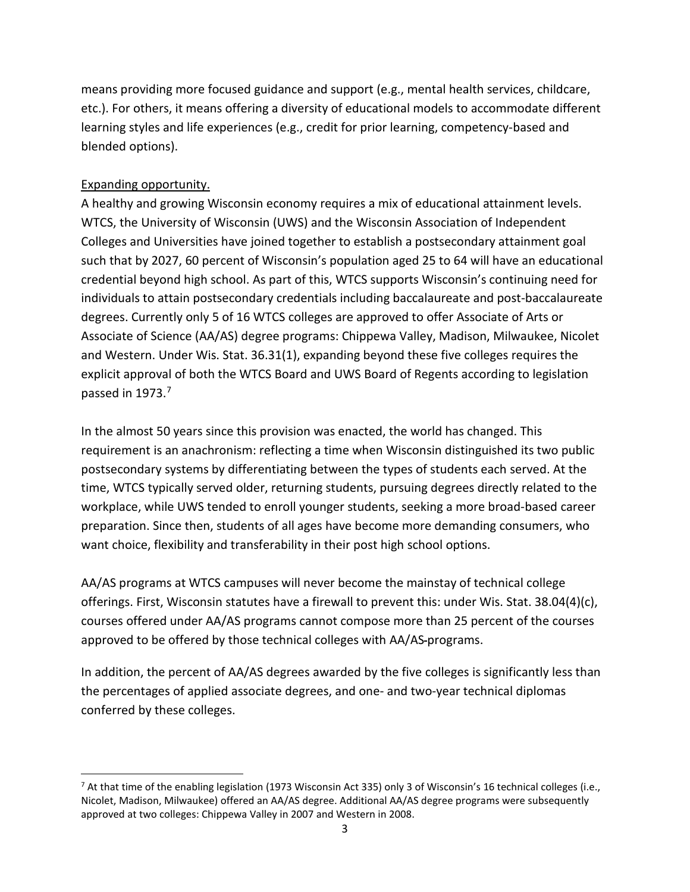means providing more focused guidance and support (e.g., mental health services, childcare, etc.). For others, it means offering a diversity of educational models to accommodate different learning styles and life experiences (e.g., credit for prior learning, competency-based and blended options).

## Expanding opportunity.

A healthy and growing Wisconsin economy requires a mix of educational attainment levels. WTCS, the University of Wisconsin (UWS) and the Wisconsin Association of Independent Colleges and Universities have joined together to establish a postsecondary attainment goal such that by 2027, 60 percent of Wisconsin's population aged 25 to 64 will have an educational credential beyond high school. As part of this, WTCS supports Wisconsin's continuing need for individuals to attain postsecondary credentials including baccalaureate and post-baccalaureate degrees. Currently only 5 of 16 WTCS colleges are approved to offer Associate of Arts or Associate of Science (AA/AS) degree programs: Chippewa Valley, Madison, Milwaukee, Nicolet and Western. Under Wis. Stat. 36.31(1), expanding beyond these five colleges requires the explicit approval of both the WTCS Board and UWS Board of Regents according to legislation passed in 1973. [7](#page-2-0)

In the almost 50 years since this provision was enacted, the world has changed. This requirement is an anachronism: reflecting a time when Wisconsin distinguished its two public postsecondary systems by differentiating between the types of students each served. At the time, WTCS typically served older, returning students, pursuing degrees directly related to the workplace, while UWS tended to enroll younger students, seeking a more broad-based career preparation. Since then, students of all ages have become more demanding consumers, who want choice, flexibility and transferability in their post high school options.

AA/AS programs at WTCS campuses will never become the mainstay of technical college offerings. First, Wisconsin statutes have a firewall to prevent this: under Wis. Stat. 38.04(4)(c), courses offered under AA/AS programs cannot compose more than 25 percent of the courses approved to be offered by those technical colleges with AA/AS programs.

In addition, the percent of AA/AS degrees awarded by the five colleges is significantly less than the percentages of applied associate degrees, and one- and two-year technical diplomas conferred by these colleges.

<span id="page-2-0"></span><sup>&</sup>lt;sup>7</sup> At that time of the enabling legislation (1973 Wisconsin Act 335) only 3 of Wisconsin's 16 technical colleges (i.e., Nicolet, Madison, Milwaukee) offered an AA/AS degree. Additional AA/AS degree programs were subsequently approved at two colleges: Chippewa Valley in 2007 and Western in 2008.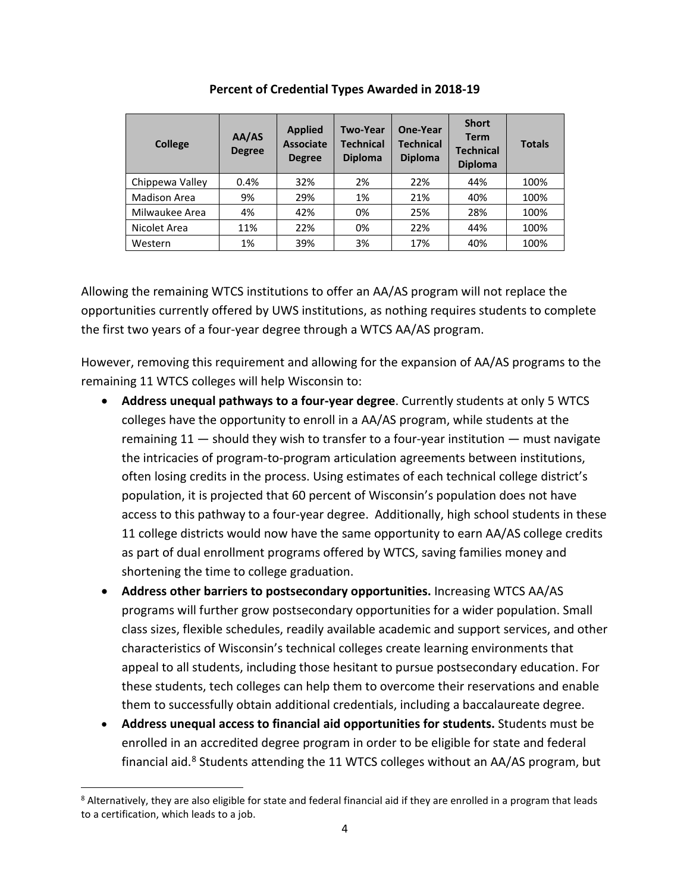| <b>College</b>      | AA/AS<br><b>Degree</b> | <b>Applied</b><br><b>Associate</b><br><b>Degree</b> | <b>Two-Year</b><br><b>Technical</b><br><b>Diploma</b> | One-Year<br><b>Technical</b><br><b>Diploma</b> | <b>Short</b><br><b>Term</b><br><b>Technical</b><br><b>Diploma</b> | <b>Totals</b> |
|---------------------|------------------------|-----------------------------------------------------|-------------------------------------------------------|------------------------------------------------|-------------------------------------------------------------------|---------------|
| Chippewa Valley     | 0.4%                   | 32%                                                 | 2%                                                    | 22%                                            | 44%                                                               | 100%          |
| <b>Madison Area</b> | 9%                     | 29%                                                 | 1%                                                    | 21%                                            | 40%                                                               | 100%          |
| Milwaukee Area      | 4%                     | 42%                                                 | 0%                                                    | 25%                                            | 28%                                                               | 100%          |
| Nicolet Area        | 11%                    | 22%                                                 | 0%                                                    | 22%                                            | 44%                                                               | 100%          |
| Western             | 1%                     | 39%                                                 | 3%                                                    | 17%                                            | 40%                                                               | 100%          |

**Percent of Credential Types Awarded in 2018-19**

Allowing the remaining WTCS institutions to offer an AA/AS program will not replace the opportunities currently offered by UWS institutions, as nothing requires students to complete the first two years of a four-year degree through a WTCS AA/AS program.

However, removing this requirement and allowing for the expansion of AA/AS programs to the remaining 11 WTCS colleges will help Wisconsin to:

- **Address unequal pathways to a four-year degree**. Currently students at only 5 WTCS colleges have the opportunity to enroll in a AA/AS program, while students at the remaining 11 — should they wish to transfer to a four-year institution — must navigate the intricacies of program-to-program articulation agreements between institutions, often losing credits in the process. Using estimates of each technical college district's population, it is projected that 60 percent of Wisconsin's population does not have access to this pathway to a four-year degree. Additionally, high school students in these 11 college districts would now have the same opportunity to earn AA/AS college credits as part of dual enrollment programs offered by WTCS, saving families money and shortening the time to college graduation.
- **Address other barriers to postsecondary opportunities.** Increasing WTCS AA/AS programs will further grow postsecondary opportunities for a wider population. Small class sizes, flexible schedules, readily available academic and support services, and other characteristics of Wisconsin's technical colleges create learning environments that appeal to all students, including those hesitant to pursue postsecondary education. For these students, tech colleges can help them to overcome their reservations and enable them to successfully obtain additional credentials, including a baccalaureate degree.
- **Address unequal access to financial aid opportunities for students.** Students must be enrolled in an accredited degree program in order to be eligible for state and federal financial aid.<sup>[8](#page-3-0)</sup> Students attending the 11 WTCS colleges without an AA/AS program, but

<span id="page-3-0"></span><sup>&</sup>lt;sup>8</sup> Alternatively, they are also eligible for state and federal financial aid if they are enrolled in a program that leads to a certification, which leads to a job.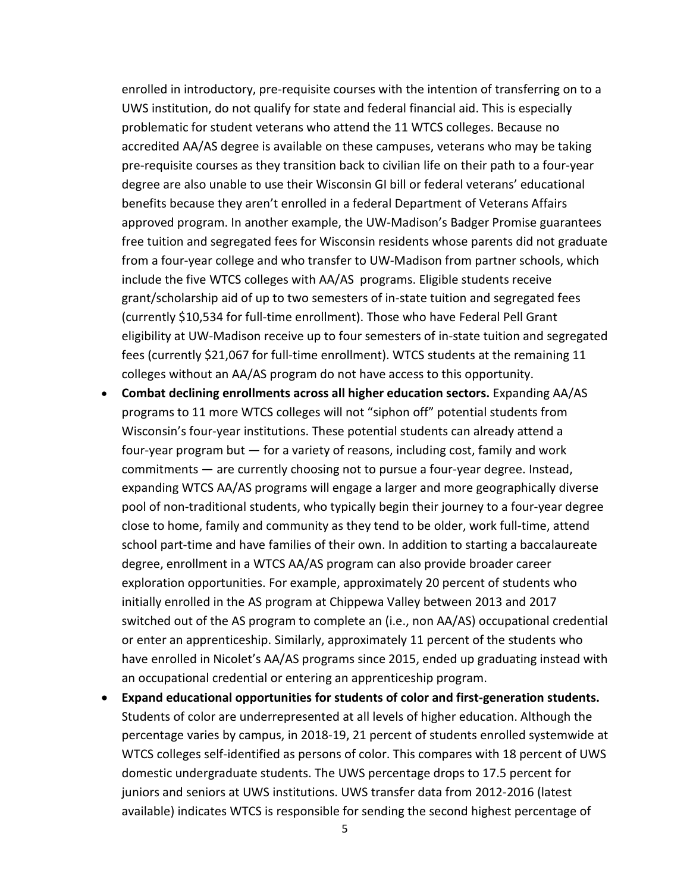enrolled in introductory, pre-requisite courses with the intention of transferring on to a UWS institution, do not qualify for state and federal financial aid. This is especially problematic for student veterans who attend the 11 WTCS colleges. Because no accredited AA/AS degree is available on these campuses, veterans who may be taking pre-requisite courses as they transition back to civilian life on their path to a four-year degree are also unable to use their Wisconsin GI bill or federal veterans' educational benefits because they aren't enrolled in a federal Department of Veterans Affairs approved program. In another example, the UW-Madison's Badger Promise guarantees free tuition and segregated fees for Wisconsin residents whose parents did not graduate from a four-year college and who transfer to UW-Madison from partner schools, which include the five WTCS colleges with AA/AS programs. Eligible students receive grant/scholarship aid of up to two semesters of in-state tuition and segregated fees (currently \$10,534 for full-time enrollment). Those who have Federal Pell Grant eligibility at UW-Madison receive up to four semesters of in-state tuition and segregated fees (currently \$21,067 for full-time enrollment). WTCS students at the remaining 11 colleges without an AA/AS program do not have access to this opportunity.

- **Combat declining enrollments across all higher education sectors.** Expanding AA/AS programs to 11 more WTCS colleges will not "siphon off" potential students from Wisconsin's four-year institutions. These potential students can already attend a four-year program but — for a variety of reasons, including cost, family and work commitments — are currently choosing not to pursue a four-year degree. Instead, expanding WTCS AA/AS programs will engage a larger and more geographically diverse pool of non-traditional students, who typically begin their journey to a four-year degree close to home, family and community as they tend to be older, work full-time, attend school part-time and have families of their own. In addition to starting a baccalaureate degree, enrollment in a WTCS AA/AS program can also provide broader career exploration opportunities. For example, approximately 20 percent of students who initially enrolled in the AS program at Chippewa Valley between 2013 and 2017 switched out of the AS program to complete an (i.e., non AA/AS) occupational credential or enter an apprenticeship. Similarly, approximately 11 percent of the students who have enrolled in Nicolet's AA/AS programs since 2015, ended up graduating instead with an occupational credential or entering an apprenticeship program.
- **Expand educational opportunities for students of color and first-generation students.** Students of color are underrepresented at all levels of higher education. Although the percentage varies by campus, in 2018-19, 21 percent of students enrolled systemwide at WTCS colleges self-identified as persons of color. This compares with 18 percent of UWS domestic undergraduate students. The UWS percentage drops to 17.5 percent for juniors and seniors at UWS institutions. UWS transfer data from 2012-2016 (latest available) indicates WTCS is responsible for sending the second highest percentage of